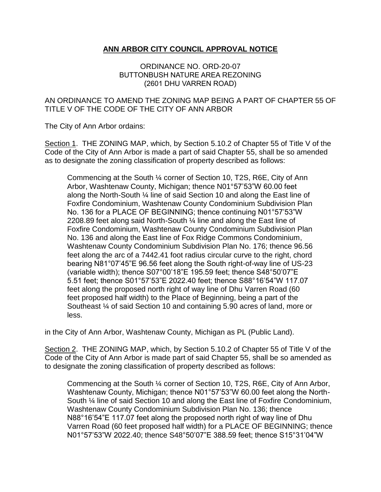## **ANN ARBOR CITY COUNCIL APPROVAL NOTICE**

## ORDINANCE NO. ORD-20-07 BUTTONBUSH NATURE AREA REZONING (2601 DHU VARREN ROAD)

## AN ORDINANCE TO AMEND THE ZONING MAP BEING A PART OF CHAPTER 55 OF TITLE V OF THE CODE OF THE CITY OF ANN ARBOR

The City of Ann Arbor ordains:

Section 1. THE ZONING MAP, which, by Section 5.10.2 of Chapter 55 of Title V of the Code of the City of Ann Arbor is made a part of said Chapter 55, shall be so amended as to designate the zoning classification of property described as follows:

Commencing at the South ¼ corner of Section 10, T2S, R6E, City of Ann Arbor, Washtenaw County, Michigan; thence N01°57'53"W 60.00 feet along the North-South ¼ line of said Section 10 and along the East line of Foxfire Condominium, Washtenaw County Condominium Subdivision Plan No. 136 for a PLACE OF BEGINNING; thence continuing N01°57'53"W 2208.89 feet along said North-South ¼ line and along the East line of Foxfire Condominium, Washtenaw County Condominium Subdivision Plan No. 136 and along the East line of Fox Ridge Commons Condominium, Washtenaw County Condominium Subdivision Plan No. 176; thence 96.56 feet along the arc of a 7442.41 foot radius circular curve to the right, chord bearing N81°07'45"E 96.56 feet along the South right-of-way line of US-23 (variable width); thence S07°00'18"E 195.59 feet; thence S48°50'07"E 5.51 feet; thence S01°57'53"E 2022.40 feet; thence S88°16'54"W 117.07 feet along the proposed north right of way line of Dhu Varren Road (60 feet proposed half width) to the Place of Beginning, being a part of the Southeast ¼ of said Section 10 and containing 5.90 acres of land, more or less.

in the City of Ann Arbor, Washtenaw County, Michigan as PL (Public Land).

Section 2. THE ZONING MAP, which, by Section 5.10.2 of Chapter 55 of Title V of the Code of the City of Ann Arbor is made part of said Chapter 55, shall be so amended as to designate the zoning classification of property described as follows:

Commencing at the South ¼ corner of Section 10, T2S, R6E, City of Ann Arbor, Washtenaw County, Michigan; thence N01°57'53"W 60.00 feet along the North-South ¼ line of said Section 10 and along the East line of Foxfire Condominium, Washtenaw County Condominium Subdivision Plan No. 136; thence N88°16'54"E 117.07 feet along the proposed north right of way line of Dhu Varren Road (60 feet proposed half width) for a PLACE OF BEGINNING; thence N01°57'53"W 2022.40; thence S48°50'07"E 388.59 feet; thence S15°31'04"W